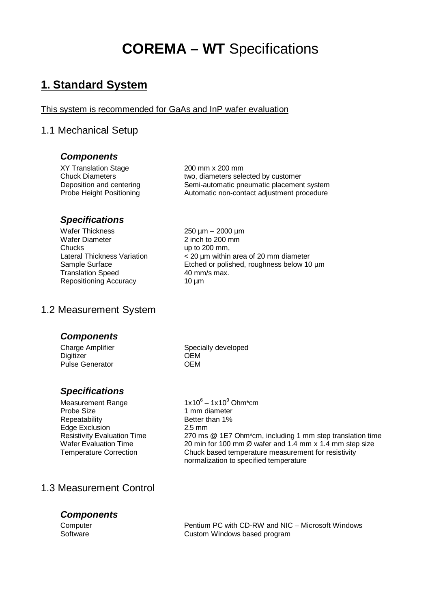# **COREMA – WT** Specifications

# **1. Standard System**

#### This system is recommended for GaAs and InP wafer evaluation

# 1.1 Mechanical Setup

#### *Components*

XY Translation Stage 200 mm x 200 mm

Chuck Diameters two, diameters selected by customer Deposition and centering Semi-automatic pneumatic placement system Probe Height Positioning **Automatic non-contact adjustment procedure** 

### *Specifications*

Wafer Thickness 250 µm – 2000 µm Wafer Diameter 2 inch to 200 mm Chucks up to 200 mm, Translation Speed 40 mm/s max.<br>Repositioning Accuracy 10 µm Repositioning Accuracy

Lateral Thickness Variation < 20 µm within area of 20 mm diameter Sample Surface Etched or polished, roughness below 10 um

### 1.2 Measurement System

#### *Components*

Digitizer OEM Pulse Generator **OEM** 

# *Specifications*

Measurement Range Probe Size 1 mm diameter Repeatability Better than 1% Edge Exclusion 2.5 mm<br>Resistivity Evaluation Time 270 ms

Charge Amplifier Specially developed

 $1x10^6 - 1x10^9$  Ohm\*cm Resistivity Evaluation Time 270 ms @ 1E7 Ohm\*cm, including 1 mm step translation time<br>Wafer Evaluation Time 20 min for 100 mm Ø wafer and 1.4 mm x 1.4 mm step size 20 min for 100 mm  $\varnothing$  wafer and 1.4 mm x 1.4 mm step size Temperature Correction Chuck based temperature measurement for resistivity normalization to specified temperature

# 1.3 Measurement Control

### *Components*

Computer Pentium PC with CD-RW and NIC – Microsoft Windows Software **Custom Windows based program**